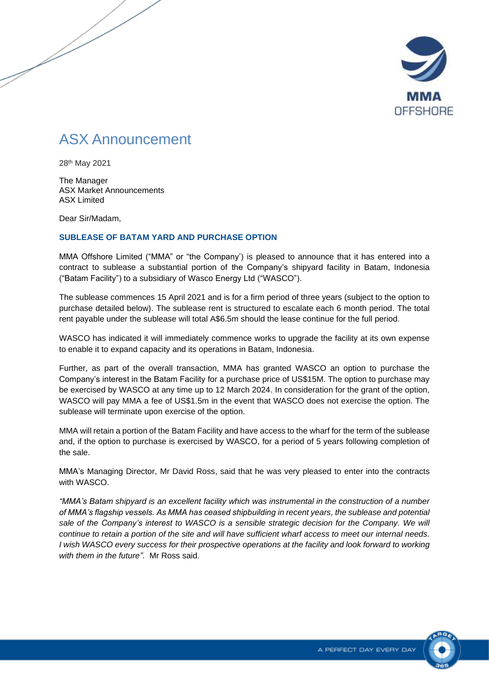

## ASX Announcement

28th May 2021

The Manager ASX Market Announcements ASX Limited

Dear Sir/Madam,

## **SUBLEASE OF BATAM YARD AND PURCHASE OPTION**

MMA Offshore Limited ("MMA" or "the Company') is pleased to announce that it has entered into a contract to sublease a substantial portion of the Company's shipyard facility in Batam, Indonesia ("Batam Facility") to a subsidiary of Wasco Energy Ltd ("WASCO").

The sublease commences 15 April 2021 and is for a firm period of three years (subject to the option to purchase detailed below). The sublease rent is structured to escalate each 6 month period. The total rent payable under the sublease will total A\$6.5m should the lease continue for the full period.

WASCO has indicated it will immediately commence works to upgrade the facility at its own expense to enable it to expand capacity and its operations in Batam, Indonesia.

Further, as part of the overall transaction, MMA has granted WASCO an option to purchase the Company's interest in the Batam Facility for a purchase price of US\$15M. The option to purchase may be exercised by WASCO at any time up to 12 March 2024. In consideration for the grant of the option, WASCO will pay MMA a fee of US\$1.5m in the event that WASCO does not exercise the option. The sublease will terminate upon exercise of the option.

MMA will retain a portion of the Batam Facility and have access to the wharf for the term of the sublease and, if the option to purchase is exercised by WASCO, for a period of 5 years following completion of the sale.

MMA's Managing Director, Mr David Ross, said that he was very pleased to enter into the contracts with WASCO.

*"MMA's Batam shipyard is an excellent facility which was instrumental in the construction of a number of MMA's flagship vessels. As MMA has ceased shipbuilding in recent years, the sublease and potential sale of the Company's interest to WASCO is a sensible strategic decision for the Company. We will continue to retain a portion of the site and will have sufficient wharf access to meet our internal needs. I wish WASCO every success for their prospective operations at the facility and look forward to working with them in the future".* Mr Ross said.